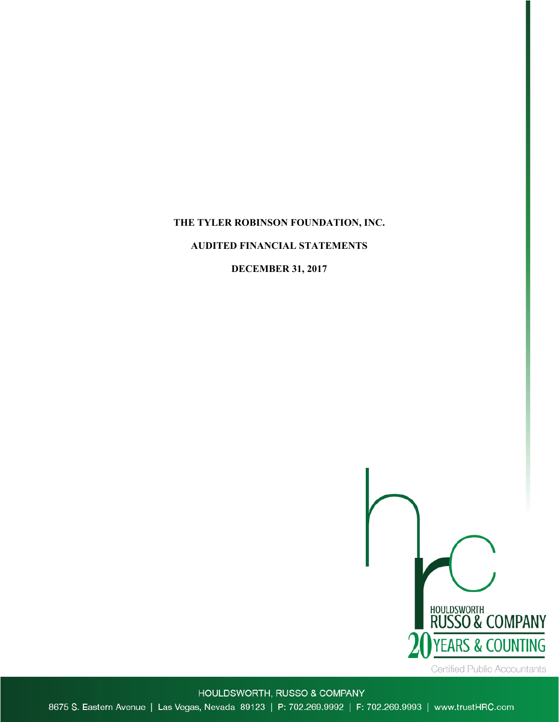# **THE TYLER ROBINSON FOUNDATION, INC.**

# **AUDITED FINANCIAL STATEMENTS**

# **DECEMBER 31, 2017**



HOULDSWORTH, RUSSO & COMPANY 8675 S. Eastern Avenue | Las Vegas, Nevada 89123 | P: 702.269.9992 | F: 702.269.9993 | www.trustHRC.com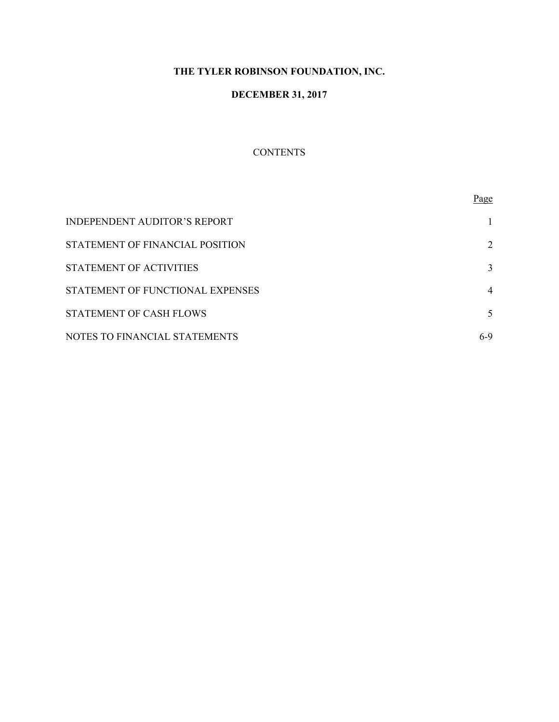# **THE TYLER ROBINSON FOUNDATION, INC.**

# **DECEMBER 31, 2017**

# **CONTENTS**

|                                     | Page  |
|-------------------------------------|-------|
| <b>INDEPENDENT AUDITOR'S REPORT</b> |       |
| STATEMENT OF FINANCIAL POSITION     | 2     |
| STATEMENT OF ACTIVITIES             | 3     |
| STATEMENT OF FUNCTIONAL EXPENSES    | 4     |
| STATEMENT OF CASH FLOWS             | 5     |
| NOTES TO FINANCIAL STATEMENTS       | $6-9$ |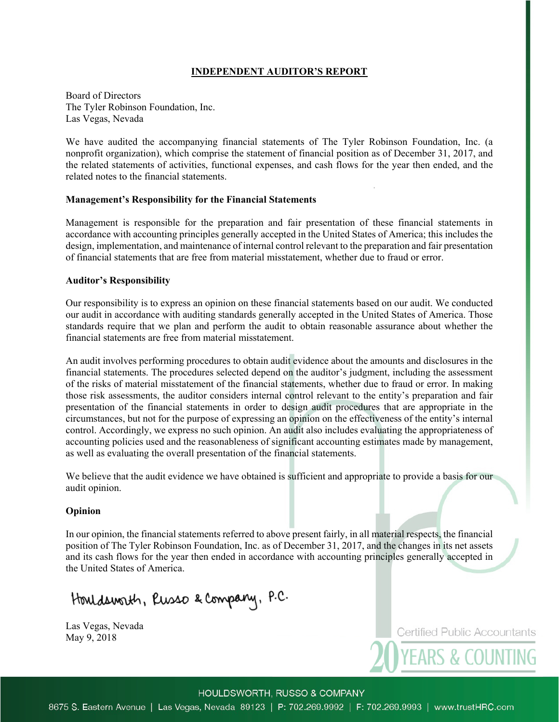# **INDEPENDENT AUDITOR'S REPORT**

Board of Directors The Tyler Robinson Foundation, Inc. Las Vegas, Nevada

We have audited the accompanying financial statements of The Tyler Robinson Foundation, Inc. (a nonprofit organization), which comprise the statement of financial position as of December 31, 2017, and the related statements of activities, functional expenses, and cash flows for the year then ended, and the related notes to the financial statements.

#### **Management's Responsibility for the Financial Statements**

Management is responsible for the preparation and fair presentation of these financial statements in accordance with accounting principles generally accepted in the United States of America; this includes the design, implementation, and maintenance of internal control relevant to the preparation and fair presentation of financial statements that are free from material misstatement, whether due to fraud or error.

#### **Auditor's Responsibility**

Our responsibility is to express an opinion on these financial statements based on our audit. We conducted our audit in accordance with auditing standards generally accepted in the United States of America. Those standards require that we plan and perform the audit to obtain reasonable assurance about whether the financial statements are free from material misstatement.

An audit involves performing procedures to obtain audit evidence about the amounts and disclosures in the financial statements. The procedures selected depend on the auditor's judgment, including the assessment of the risks of material misstatement of the financial statements, whether due to fraud or error. In making those risk assessments, the auditor considers internal control relevant to the entity's preparation and fair presentation of the financial statements in order to design audit procedures that are appropriate in the circumstances, but not for the purpose of expressing an opinion on the effectiveness of the entity's internal control. Accordingly, we express no such opinion. An audit also includes evaluating the appropriateness of accounting policies used and the reasonableness of significant accounting estimates made by management, as well as evaluating the overall presentation of the financial statements.

We believe that the audit evidence we have obtained is sufficient and appropriate to provide a basis for our audit opinion.

### **Opinion**

In our opinion, the financial statements referred to above present fairly, in all material respects, the financial position of The Tyler Robinson Foundation, Inc. as of December 31, 2017, and the changes in its net assets and its cash flows for the year then ended in accordance with accounting principles generally accepted in the United States of America.

Houldsworth, Russo & Company, P.C.

Las Vegas, Nevada May 9, 2018

**Certified Public Accountants** 

**YEARS & COUNTING** 

HOULDSWORTH, RUSSO & COMPANY

8675 S. Eastern Avenue | Las Vegas, Nevada 89123 | P: 702.269.9992 | F: 702.269.9993 | www.trustHRC.com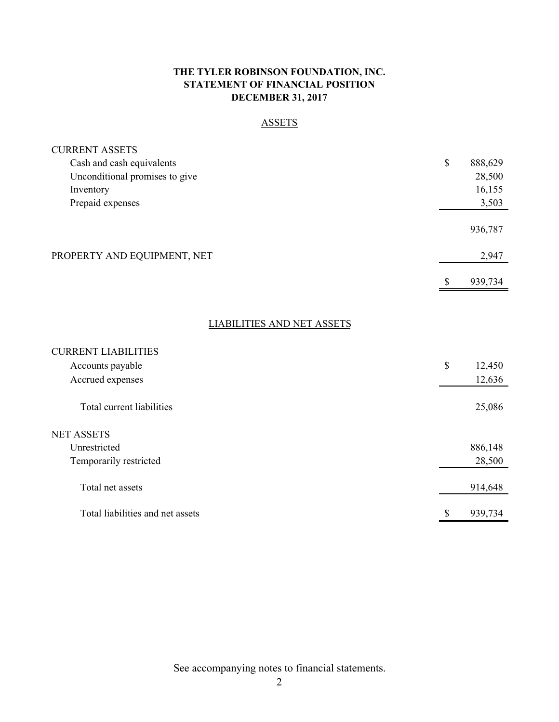# **THE TYLER ROBINSON FOUNDATION, INC. STATEMENT OF FINANCIAL POSITION DECEMBER 31, 2017**

# ASSETS

| <b>CURRENT ASSETS</b>             |    |         |
|-----------------------------------|----|---------|
| Cash and cash equivalents         | \$ | 888,629 |
| Unconditional promises to give    |    | 28,500  |
| Inventory                         |    | 16,155  |
| Prepaid expenses                  |    | 3,503   |
|                                   |    | 936,787 |
| PROPERTY AND EQUIPMENT, NET       |    | 2,947   |
|                                   | \$ | 939,734 |
| <b>LIABILITIES AND NET ASSETS</b> |    |         |
|                                   |    |         |
| <b>CURRENT LIABILITIES</b>        |    |         |
| Accounts payable                  | \$ | 12,450  |
| Accrued expenses                  |    | 12,636  |
| Total current liabilities         |    | 25,086  |
| <b>NET ASSETS</b>                 |    |         |
| Unrestricted                      |    | 886,148 |
| Temporarily restricted            |    | 28,500  |
| Total net assets                  |    | 914,648 |
| Total liabilities and net assets  | \$ | 939,734 |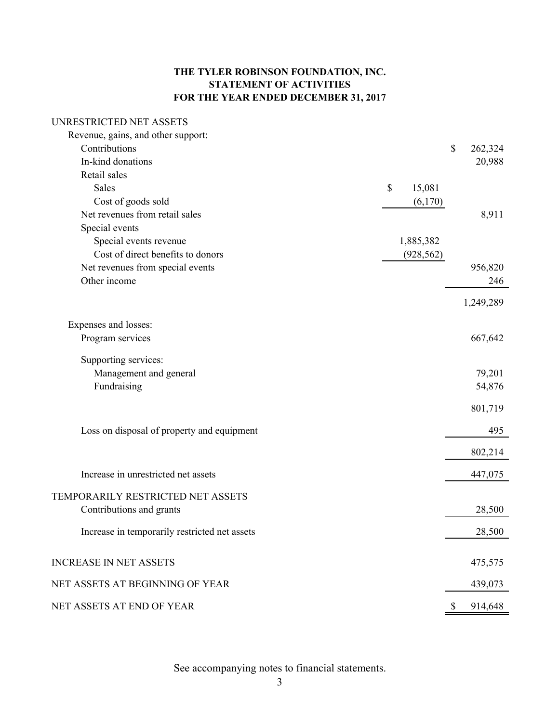# **THE TYLER ROBINSON FOUNDATION, INC. STATEMENT OF ACTIVITIES FOR THE YEAR ENDED DECEMBER 31, 2017**

# UNRESTRICTED NET ASSETS

| Revenue, gains, and other support:            |              |               |
|-----------------------------------------------|--------------|---------------|
| Contributions                                 |              | \$<br>262,324 |
| In-kind donations                             |              | 20,988        |
| Retail sales                                  |              |               |
| <b>Sales</b>                                  | \$<br>15,081 |               |
| Cost of goods sold                            | (6,170)      |               |
| Net revenues from retail sales                |              | 8,911         |
| Special events                                |              |               |
| Special events revenue                        | 1,885,382    |               |
| Cost of direct benefits to donors             | (928, 562)   |               |
| Net revenues from special events              |              | 956,820       |
| Other income                                  |              | 246           |
|                                               |              |               |
|                                               |              | 1,249,289     |
| Expenses and losses:                          |              |               |
| Program services                              |              | 667,642       |
|                                               |              |               |
| Supporting services:                          |              |               |
| Management and general                        |              | 79,201        |
| Fundraising                                   |              | 54,876        |
|                                               |              | 801,719       |
|                                               |              |               |
| Loss on disposal of property and equipment    |              | 495           |
|                                               |              |               |
|                                               |              | 802,214       |
| Increase in unrestricted net assets           |              | 447,075       |
|                                               |              |               |
| TEMPORARILY RESTRICTED NET ASSETS             |              |               |
| Contributions and grants                      |              | 28,500        |
|                                               |              |               |
| Increase in temporarily restricted net assets |              | 28,500        |
|                                               |              |               |
| <b>INCREASE IN NET ASSETS</b>                 |              | 475,575       |
| NET ASSETS AT BEGINNING OF YEAR               |              | 439,073       |
|                                               |              |               |
| NET ASSETS AT END OF YEAR                     |              | \$<br>914,648 |
|                                               |              |               |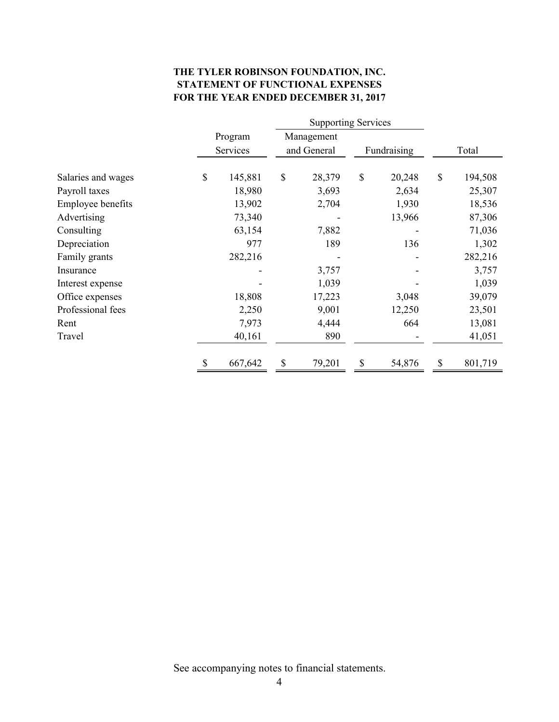# **THE TYLER ROBINSON FOUNDATION, INC. STATEMENT OF FUNCTIONAL EXPENSES FOR THE YEAR ENDED DECEMBER 31, 2017**

|                          |                     | <b>Supporting Services</b> |                           |        |               |        |       |         |
|--------------------------|---------------------|----------------------------|---------------------------|--------|---------------|--------|-------|---------|
|                          | Program<br>Services |                            | Management<br>and General |        | Fundraising   |        | Total |         |
| Salaries and wages       | \$                  | 145,881                    | \$                        | 28,379 | $\mathcal{S}$ | 20,248 | \$    | 194,508 |
| Payroll taxes            |                     | 18,980                     |                           | 3,693  |               | 2,634  |       | 25,307  |
| <b>Employee benefits</b> |                     | 13,902                     |                           | 2,704  |               | 1,930  |       | 18,536  |
| Advertising              |                     | 73,340                     |                           |        |               | 13,966 |       | 87,306  |
| Consulting               |                     | 63,154                     |                           | 7,882  |               |        |       | 71,036  |
| Depreciation             |                     | 977                        |                           | 189    |               | 136    |       | 1,302   |
| Family grants            |                     | 282,216                    |                           |        |               |        |       | 282,216 |
| Insurance                |                     |                            |                           | 3,757  |               |        |       | 3,757   |
| Interest expense         |                     |                            |                           | 1,039  |               |        |       | 1,039   |
| Office expenses          |                     | 18,808                     |                           | 17,223 |               | 3,048  |       | 39,079  |
| Professional fees        |                     | 2,250                      |                           | 9,001  |               | 12,250 |       | 23,501  |
| Rent                     |                     | 7,973                      |                           | 4,444  |               | 664    |       | 13,081  |
| Travel                   |                     | 40,161                     |                           | 890    |               |        |       | 41,051  |
|                          |                     | 667,642                    | \$                        | 79,201 | \$            | 54,876 | \$    | 801,719 |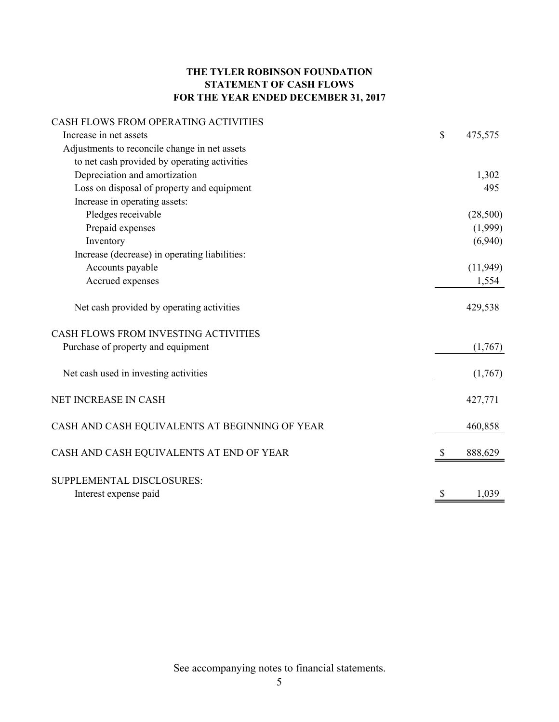# **THE TYLER ROBINSON FOUNDATION STATEMENT OF CASH FLOWS FOR THE YEAR ENDED DECEMBER 31, 2017**

# CASH FLOWS FROM OPERATING ACTIVITIES

| Increase in net assets                         | $\$$ | 475,575  |
|------------------------------------------------|------|----------|
| Adjustments to reconcile change in net assets  |      |          |
| to net cash provided by operating activities   |      |          |
| Depreciation and amortization                  |      | 1,302    |
| Loss on disposal of property and equipment     |      | 495      |
| Increase in operating assets:                  |      |          |
| Pledges receivable                             |      | (28,500) |
| Prepaid expenses                               |      | (1,999)  |
| Inventory                                      |      | (6,940)  |
| Increase (decrease) in operating liabilities:  |      |          |
| Accounts payable                               |      | (11,949) |
| Accrued expenses                               |      | 1,554    |
| Net cash provided by operating activities      |      | 429,538  |
| <b>CASH FLOWS FROM INVESTING ACTIVITIES</b>    |      |          |
| Purchase of property and equipment             |      | (1,767)  |
| Net cash used in investing activities          |      | (1,767)  |
| NET INCREASE IN CASH                           |      | 427,771  |
| CASH AND CASH EQUIVALENTS AT BEGINNING OF YEAR |      | 460,858  |
| CASH AND CASH EQUIVALENTS AT END OF YEAR       | S    | 888,629  |
| SUPPLEMENTAL DISCLOSURES:                      |      |          |
| Interest expense paid                          | \$   | 1,039    |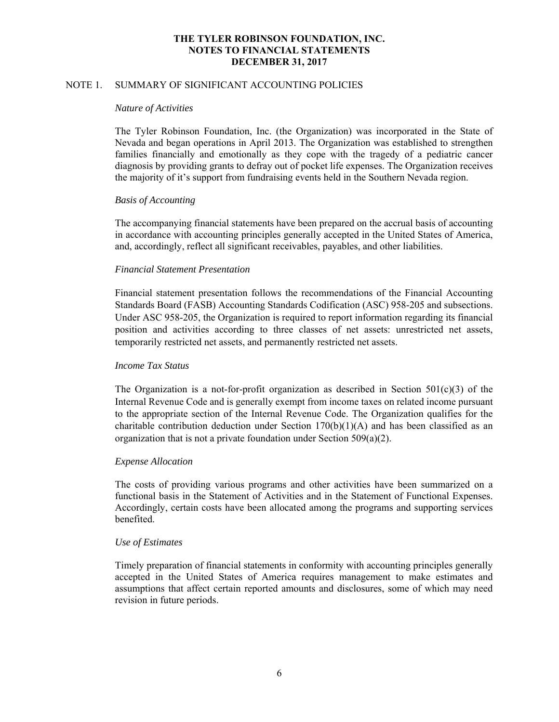# **THE TYLER ROBINSON FOUNDATION, INC. NOTES TO FINANCIAL STATEMENTS DECEMBER 31, 2017**

# NOTE 1. SUMMARY OF SIGNIFICANT ACCOUNTING POLICIES

#### *Nature of Activities*

The Tyler Robinson Foundation, Inc. (the Organization) was incorporated in the State of Nevada and began operations in April 2013. The Organization was established to strengthen families financially and emotionally as they cope with the tragedy of a pediatric cancer diagnosis by providing grants to defray out of pocket life expenses. The Organization receives the majority of it's support from fundraising events held in the Southern Nevada region.

### *Basis of Accounting*

The accompanying financial statements have been prepared on the accrual basis of accounting in accordance with accounting principles generally accepted in the United States of America, and, accordingly, reflect all significant receivables, payables, and other liabilities.

#### *Financial Statement Presentation*

Financial statement presentation follows the recommendations of the Financial Accounting Standards Board (FASB) Accounting Standards Codification (ASC) 958-205 and subsections. Under ASC 958-205, the Organization is required to report information regarding its financial position and activities according to three classes of net assets: unrestricted net assets, temporarily restricted net assets, and permanently restricted net assets.

# *Income Tax Status*

The Organization is a not-for-profit organization as described in Section  $501(c)(3)$  of the Internal Revenue Code and is generally exempt from income taxes on related income pursuant to the appropriate section of the Internal Revenue Code. The Organization qualifies for the charitable contribution deduction under Section  $170(b)(1)(A)$  and has been classified as an organization that is not a private foundation under Section 509(a)(2).

### *Expense Allocation*

The costs of providing various programs and other activities have been summarized on a functional basis in the Statement of Activities and in the Statement of Functional Expenses. Accordingly, certain costs have been allocated among the programs and supporting services benefited.

#### *Use of Estimates*

Timely preparation of financial statements in conformity with accounting principles generally accepted in the United States of America requires management to make estimates and assumptions that affect certain reported amounts and disclosures, some of which may need revision in future periods.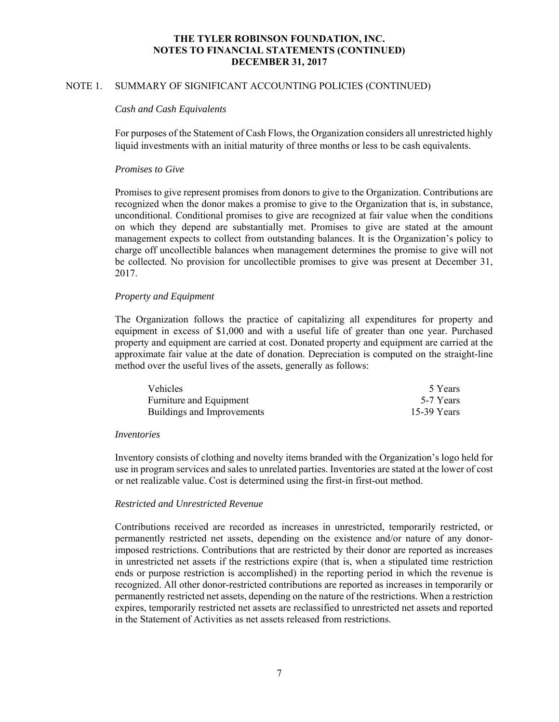# **THE TYLER ROBINSON FOUNDATION, INC. NOTES TO FINANCIAL STATEMENTS (CONTINUED) DECEMBER 31, 2017**

# NOTE 1. SUMMARY OF SIGNIFICANT ACCOUNTING POLICIES (CONTINUED)

#### *Cash and Cash Equivalents*

For purposes of the Statement of Cash Flows, the Organization considers all unrestricted highly liquid investments with an initial maturity of three months or less to be cash equivalents.

# *Promises to Give*

 Promises to give represent promises from donors to give to the Organization. Contributions are recognized when the donor makes a promise to give to the Organization that is, in substance, unconditional. Conditional promises to give are recognized at fair value when the conditions on which they depend are substantially met. Promises to give are stated at the amount management expects to collect from outstanding balances. It is the Organization's policy to charge off uncollectible balances when management determines the promise to give will not be collected. No provision for uncollectible promises to give was present at December 31, 2017.

### *Property and Equipment*

The Organization follows the practice of capitalizing all expenditures for property and equipment in excess of \$1,000 and with a useful life of greater than one year. Purchased property and equipment are carried at cost. Donated property and equipment are carried at the approximate fair value at the date of donation. Depreciation is computed on the straight-line method over the useful lives of the assets, generally as follows:

| <b>Vehicles</b>            | 5 Years     |
|----------------------------|-------------|
| Furniture and Equipment    | 5-7 Years   |
| Buildings and Improvements | 15-39 Years |

#### *Inventories*

Inventory consists of clothing and novelty items branded with the Organization's logo held for use in program services and sales to unrelated parties. Inventories are stated at the lower of cost or net realizable value. Cost is determined using the first-in first-out method.

# *Restricted and Unrestricted Revenue*

Contributions received are recorded as increases in unrestricted, temporarily restricted, or permanently restricted net assets, depending on the existence and/or nature of any donorimposed restrictions. Contributions that are restricted by their donor are reported as increases in unrestricted net assets if the restrictions expire (that is, when a stipulated time restriction ends or purpose restriction is accomplished) in the reporting period in which the revenue is recognized. All other donor-restricted contributions are reported as increases in temporarily or permanently restricted net assets, depending on the nature of the restrictions. When a restriction expires, temporarily restricted net assets are reclassified to unrestricted net assets and reported in the Statement of Activities as net assets released from restrictions.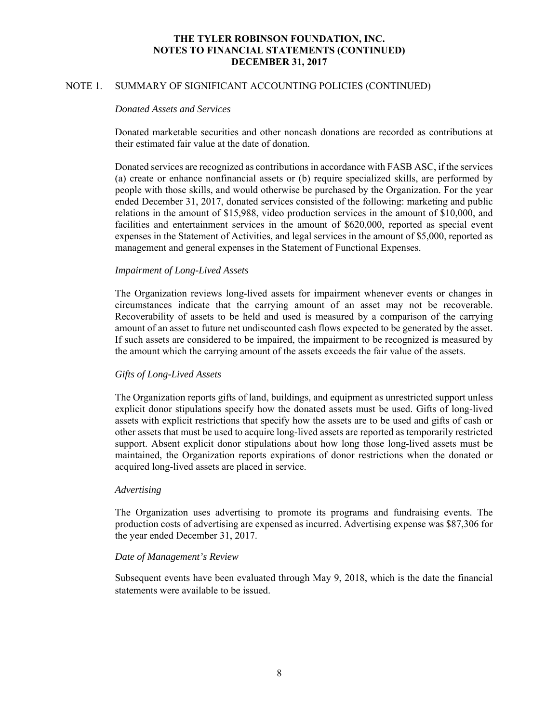# **THE TYLER ROBINSON FOUNDATION, INC. NOTES TO FINANCIAL STATEMENTS (CONTINUED) DECEMBER 31, 2017**

# NOTE 1. SUMMARY OF SIGNIFICANT ACCOUNTING POLICIES (CONTINUED)

#### *Donated Assets and Services*

Donated marketable securities and other noncash donations are recorded as contributions at their estimated fair value at the date of donation.

Donated services are recognized as contributions in accordance with FASB ASC, if the services (a) create or enhance nonfinancial assets or (b) require specialized skills, are performed by people with those skills, and would otherwise be purchased by the Organization. For the year ended December 31, 2017, donated services consisted of the following: marketing and public relations in the amount of \$15,988, video production services in the amount of \$10,000, and facilities and entertainment services in the amount of \$620,000, reported as special event expenses in the Statement of Activities, and legal services in the amount of \$5,000, reported as management and general expenses in the Statement of Functional Expenses.

# *Impairment of Long-Lived Assets*

The Organization reviews long-lived assets for impairment whenever events or changes in circumstances indicate that the carrying amount of an asset may not be recoverable. Recoverability of assets to be held and used is measured by a comparison of the carrying amount of an asset to future net undiscounted cash flows expected to be generated by the asset. If such assets are considered to be impaired, the impairment to be recognized is measured by the amount which the carrying amount of the assets exceeds the fair value of the assets.

### *Gifts of Long-Lived Assets*

The Organization reports gifts of land, buildings, and equipment as unrestricted support unless explicit donor stipulations specify how the donated assets must be used. Gifts of long-lived assets with explicit restrictions that specify how the assets are to be used and gifts of cash or other assets that must be used to acquire long-lived assets are reported as temporarily restricted support. Absent explicit donor stipulations about how long those long-lived assets must be maintained, the Organization reports expirations of donor restrictions when the donated or acquired long-lived assets are placed in service.

#### *Advertising*

The Organization uses advertising to promote its programs and fundraising events. The production costs of advertising are expensed as incurred. Advertising expense was \$87,306 for the year ended December 31, 2017.

# *Date of Management's Review*

Subsequent events have been evaluated through May 9, 2018, which is the date the financial statements were available to be issued.